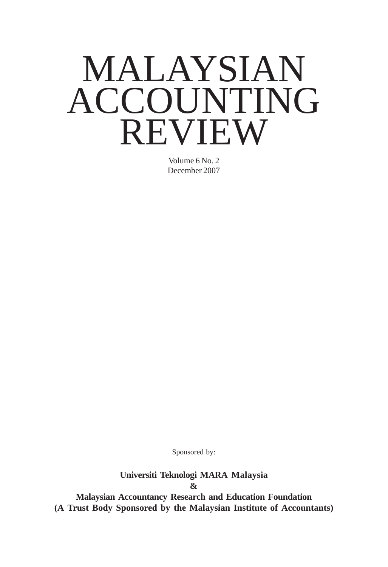# MALAYSIAN ACCOUNTING REVIEW

Volume 6 No. 2 December 2007

Sponsored by:

**Universiti Teknologi MARA Malaysia &**

**Malaysian Accountancy Research and Education Foundation (A Trust Body Sponsored by the Malaysian Institute of Accountants)**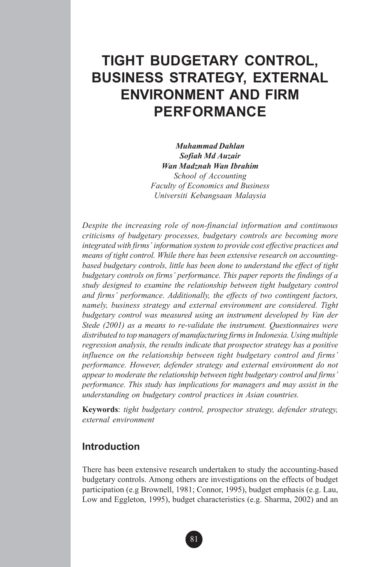## **TIGHT BUDGETARY CONTROL, BUSINESS STRATEGY, EXTERNAL ENVIRONMENT AND FIRM PERFORMANCE**

*Muhammad Dahlan Sofiah Md Auzair Wan Madznah Wan Ibrahim School of Accounting Faculty of Economics and Business Universiti Kebangsaan Malaysia*

*Despite the increasing role of non-financial information and continuous criticisms of budgetary processes, budgetary controls are becoming more integrated with firms' information system to provide cost effective practices and means of tight control. While there has been extensive research on accountingbased budgetary controls, little has been done to understand the effect of tight budgetary controls on firms' performance. This paper reports the findings of a study designed to examine the relationship between tight budgetary control and firms' performance. Additionally, the effects of two contingent factors, namely, business strategy and external environment are considered. Tight budgetary control was measured using an instrument developed by Van der Stede (2001) as a means to re-validate the instrument. Questionnaires were distributed to top managers of manufacturing firms in Indonesia. Using multiple regression analysis, the results indicate that prospector strategy has a positive influence on the relationship between tight budgetary control and firms' performance. However, defender strategy and external environment do not appear to moderate the relationship between tight budgetary control and firms' performance. This study has implications for managers and may assist in the understanding on budgetary control practices in Asian countries.*

**Keywords**: *tight budgetary control, prospector strategy, defender strategy, external environment*

## **Introduction**

There has been extensive research undertaken to study the accounting-based budgetary controls. Among others are investigations on the effects of budget participation (e.g Brownell, 1981; Connor, 1995), budget emphasis (e.g. Lau, Low and Eggleton, 1995), budget characteristics (e.g. Sharma, 2002) and an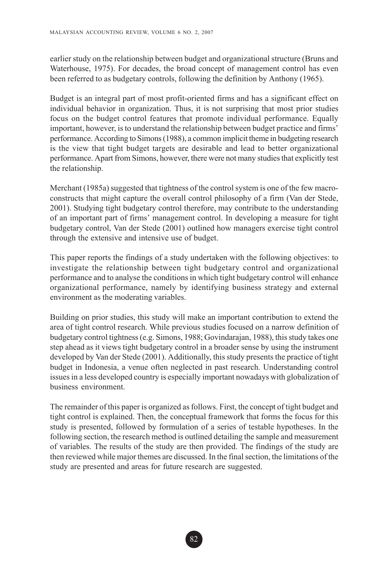earlier study on the relationship between budget and organizational structure (Bruns and Waterhouse, 1975). For decades, the broad concept of management control has even been referred to as budgetary controls, following the definition by Anthony (1965).

Budget is an integral part of most profit-oriented firms and has a significant effect on individual behavior in organization. Thus, it is not surprising that most prior studies focus on the budget control features that promote individual performance. Equally important, however, is to understand the relationship between budget practice and firms' performance. According to Simons (1988), a common implicit theme in budgeting research is the view that tight budget targets are desirable and lead to better organizational performance. Apart from Simons, however, there were not many studies that explicitly test the relationship.

Merchant (1985a) suggested that tightness of the control system is one of the few macroconstructs that might capture the overall control philosophy of a firm (Van der Stede, 2001). Studying tight budgetary control therefore, may contribute to the understanding of an important part of firms' management control. In developing a measure for tight budgetary control, Van der Stede (2001) outlined how managers exercise tight control through the extensive and intensive use of budget.

This paper reports the findings of a study undertaken with the following objectives: to investigate the relationship between tight budgetary control and organizational performance and to analyse the conditions in which tight budgetary control will enhance organizational performance, namely by identifying business strategy and external environment as the moderating variables.

Building on prior studies, this study will make an important contribution to extend the area of tight control research. While previous studies focused on a narrow definition of budgetary control tightness (e.g. Simons, 1988; Govindarajan, 1988), this study takes one step ahead as it views tight budgetary control in a broader sense by using the instrument developed by Van der Stede (2001). Additionally, this study presents the practice of tight budget in Indonesia, a venue often neglected in past research. Understanding control issues in a less developed country is especially important nowadays with globalization of business environment.

The remainder of this paper is organized as follows. First, the concept of tight budget and tight control is explained. Then, the conceptual framework that forms the focus for this study is presented, followed by formulation of a series of testable hypotheses. In the following section, the research method is outlined detailing the sample and measurement of variables. The results of the study are then provided. The findings of the study are then reviewed while major themes are discussed. In the final section, the limitations of the study are presented and areas for future research are suggested.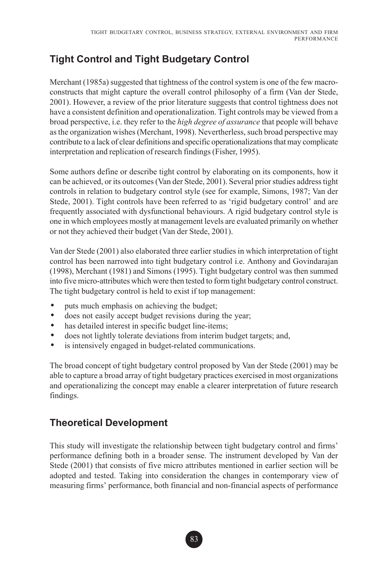## **Tight Control and Tight Budgetary Control**

Merchant (1985a) suggested that tightness of the control system is one of the few macroconstructs that might capture the overall control philosophy of a firm (Van der Stede, 2001). However, a review of the prior literature suggests that control tightness does not have a consistent definition and operationalization. Tight controls may be viewed from a broad perspective, i.e. they refer to the *high degree of assurance* that people will behave as the organization wishes (Merchant, 1998). Nevertherless, such broad perspective may contribute to a lack of clear definitions and specific operationalizations that may complicate interpretation and replication of research findings (Fisher, 1995).

Some authors define or describe tight control by elaborating on its components, how it can be achieved, or its outcomes (Van der Stede, 2001). Several prior studies address tight controls in relation to budgetary control style (see for example, Simons, 1987; Van der Stede, 2001). Tight controls have been referred to as 'rigid budgetary control' and are frequently associated with dysfunctional behaviours. A rigid budgetary control style is one in which employees mostly at management levels are evaluated primarily on whether or not they achieved their budget (Van der Stede, 2001).

Van der Stede (2001) also elaborated three earlier studies in which interpretation of tight control has been narrowed into tight budgetary control i.e. Anthony and Govindarajan (1998), Merchant (1981) and Simons (1995). Tight budgetary control was then summed into five micro-attributes which were then tested to form tight budgetary control construct. The tight budgetary control is held to exist if top management:

- puts much emphasis on achieving the budget;
- does not easily accept budget revisions during the year;
- has detailed interest in specific budget line-items;
- does not lightly tolerate deviations from interim budget targets; and,
- is intensively engaged in budget-related communications.

The broad concept of tight budgetary control proposed by Van der Stede (2001) may be able to capture a broad array of tight budgetary practices exercised in most organizations and operationalizing the concept may enable a clearer interpretation of future research findings.

## **Theoretical Development**

This study will investigate the relationship between tight budgetary control and firms' performance defining both in a broader sense. The instrument developed by Van der Stede (2001) that consists of five micro attributes mentioned in earlier section will be adopted and tested. Taking into consideration the changes in contemporary view of measuring firms' performance, both financial and non-financial aspects of performance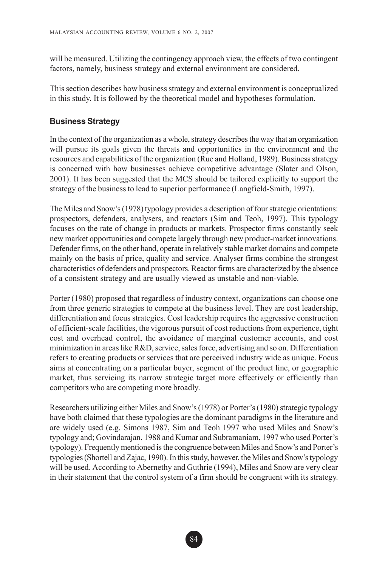will be measured. Utilizing the contingency approach view, the effects of two contingent factors, namely, business strategy and external environment are considered.

This section describes how business strategy and external environment is conceptualized in this study. It is followed by the theoretical model and hypotheses formulation.

#### **Business Strategy**

In the context of the organization as a whole, strategy describes the way that an organization will pursue its goals given the threats and opportunities in the environment and the resources and capabilities of the organization (Rue and Holland, 1989). Business strategy is concerned with how businesses achieve competitive advantage (Slater and Olson, 2001). It has been suggested that the MCS should be tailored explicitly to support the strategy of the business to lead to superior performance (Langfield-Smith, 1997).

The Miles and Snow's (1978) typology provides a description of four strategic orientations: prospectors, defenders, analysers, and reactors (Sim and Teoh, 1997). This typology focuses on the rate of change in products or markets. Prospector firms constantly seek new market opportunities and compete largely through new product-market innovations. Defender firms, on the other hand, operate in relatively stable market domains and compete mainly on the basis of price, quality and service. Analyser firms combine the strongest characteristics of defenders and prospectors. Reactor firms are characterized by the absence of a consistent strategy and are usually viewed as unstable and non-viable.

Porter (1980) proposed that regardless of industry context, organizations can choose one from three generic strategies to compete at the business level. They are cost leadership, differentiation and focus strategies. Cost leadership requires the aggressive construction of efficient-scale facilities, the vigorous pursuit of cost reductions from experience, tight cost and overhead control, the avoidance of marginal customer accounts, and cost minimization in areas like R&D, service, sales force, advertising and so on. Differentiation refers to creating products or services that are perceived industry wide as unique. Focus aims at concentrating on a particular buyer, segment of the product line, or geographic market, thus servicing its narrow strategic target more effectively or efficiently than competitors who are competing more broadly.

Researchers utilizing either Miles and Snow's (1978) or Porter's (1980) strategic typology have both claimed that these typologies are the dominant paradigms in the literature and are widely used (e.g. Simons 1987, Sim and Teoh 1997 who used Miles and Snow's typology and; Govindarajan, 1988 and Kumar and Subramaniam, 1997 who used Porter's typology). Frequently mentioned is the congruence between Miles and Snow's and Porter's typologies (Shortell and Zajac, 1990). In this study, however, the Miles and Snow's typology will be used. According to Abernethy and Guthrie (1994), Miles and Snow are very clear in their statement that the control system of a firm should be congruent with its strategy.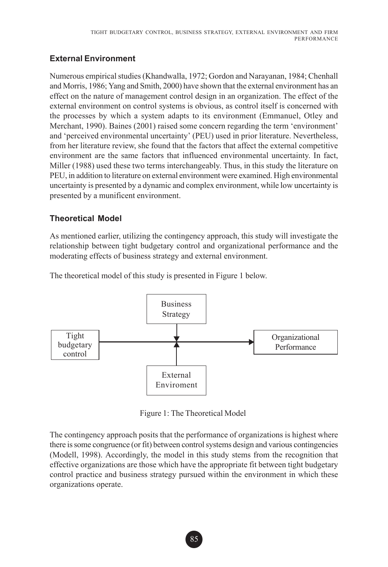## **External Environment**

Numerous empirical studies (Khandwalla, 1972; Gordon and Narayanan, 1984; Chenhall and Morris, 1986; Yang and Smith, 2000) have shown that the external environment has an effect on the nature of management control design in an organization. The effect of the external environment on control systems is obvious, as control itself is concerned with the processes by which a system adapts to its environment (Emmanuel, Otley and Merchant, 1990). Baines (2001) raised some concern regarding the term 'environment' and 'perceived environmental uncertainty' (PEU) used in prior literature. Nevertheless, from her literature review, she found that the factors that affect the external competitive environment are the same factors that influenced environmental uncertainty. In fact, Miller (1988) used these two terms interchangeably. Thus, in this study the literature on PEU, in addition to literature on external environment were examined. High environmental uncertainty is presented by a dynamic and complex environment, while low uncertainty is presented by a munificent environment.

#### **Theoretical Model**

As mentioned earlier, utilizing the contingency approach, this study will investigate the relationship between tight budgetary control and organizational performance and the moderating effects of business strategy and external environment.

The theoretical model of this study is presented in Figure 1 below.



Figure 1: The Theoretical Model

The contingency approach posits that the performance of organizations is highest where there is some congruence (or fit) between control systems design and various contingencies (Modell, 1998). Accordingly, the model in this study stems from the recognition that effective organizations are those which have the appropriate fit between tight budgetary control practice and business strategy pursued within the environment in which these organizations operate.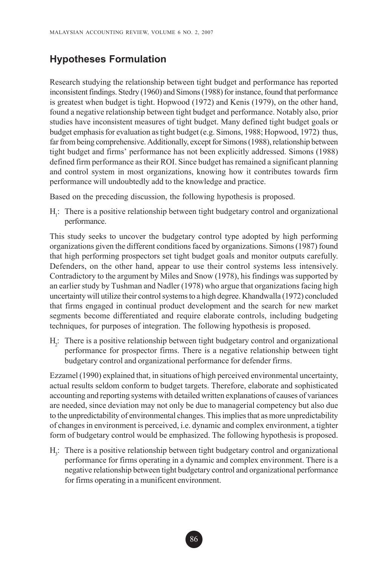## **Hypotheses Formulation**

Research studying the relationship between tight budget and performance has reported inconsistent findings. Stedry (1960) and Simons (1988) for instance, found that performance is greatest when budget is tight. Hopwood (1972) and Kenis (1979), on the other hand, found a negative relationship between tight budget and performance. Notably also, prior studies have inconsistent measures of tight budget. Many defined tight budget goals or budget emphasis for evaluation as tight budget (e.g. Simons, 1988; Hopwood, 1972) thus, far from being comprehensive. Additionally, except for Simons (1988), relationship between tight budget and firms' performance has not been explicitly addressed. Simons (1988) defined firm performance as their ROI. Since budget has remained a significant planning and control system in most organizations, knowing how it contributes towards firm performance will undoubtedly add to the knowledge and practice.

Based on the preceding discussion, the following hypothesis is proposed.

 $H<sub>1</sub>$ : There is a positive relationship between tight budgetary control and organizational performance.

This study seeks to uncover the budgetary control type adopted by high performing organizations given the different conditions faced by organizations. Simons (1987) found that high performing prospectors set tight budget goals and monitor outputs carefully. Defenders, on the other hand, appear to use their control systems less intensively. Contradictory to the argument by Miles and Snow (1978), his findings was supported by an earlier study by Tushman and Nadler (1978) who argue that organizations facing high uncertainty will utilize their control systems to a high degree. Khandwalla (1972) concluded that firms engaged in continual product development and the search for new market segments become differentiated and require elaborate controls, including budgeting techniques, for purposes of integration. The following hypothesis is proposed.

H2 : There is a positive relationship between tight budgetary control and organizational performance for prospector firms. There is a negative relationship between tight budgetary control and organizational performance for defender firms.

Ezzamel (1990) explained that, in situations of high perceived environmental uncertainty, actual results seldom conform to budget targets. Therefore, elaborate and sophisticated accounting and reporting systems with detailed written explanations of causes of variances are needed, since deviation may not only be due to managerial competency but also due to the unpredictability of environmental changes. This implies that as more unpredictability of changes in environment is perceived, i.e. dynamic and complex environment, a tighter form of budgetary control would be emphasized. The following hypothesis is proposed.

H<sub>3</sub>: There is a positive relationship between tight budgetary control and organizational performance for firms operating in a dynamic and complex environment. There is a negative relationship between tight budgetary control and organizational performance for firms operating in a munificent environment.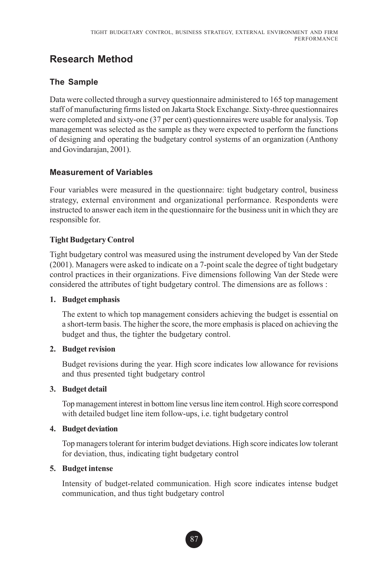## **Research Method**

#### **The Sample**

Data were collected through a survey questionnaire administered to 165 top management staff of manufacturing firms listed on Jakarta Stock Exchange. Sixty-three questionnaires were completed and sixty-one (37 per cent) questionnaires were usable for analysis. Top management was selected as the sample as they were expected to perform the functions of designing and operating the budgetary control systems of an organization (Anthony and Govindarajan, 2001).

#### **Measurement of Variables**

Four variables were measured in the questionnaire: tight budgetary control, business strategy, external environment and organizational performance. Respondents were instructed to answer each item in the questionnaire for the business unit in which they are responsible for.

#### **Tight Budgetary Control**

Tight budgetary control was measured using the instrument developed by Van der Stede (2001). Managers were asked to indicate on a 7-point scale the degree of tight budgetary control practices in their organizations. Five dimensions following Van der Stede were considered the attributes of tight budgetary control. The dimensions are as follows :

#### **1. Budget emphasis**

The extent to which top management considers achieving the budget is essential on a short-term basis. The higher the score, the more emphasis is placed on achieving the budget and thus, the tighter the budgetary control.

#### **2. Budget revision**

Budget revisions during the year. High score indicates low allowance for revisions and thus presented tight budgetary control

#### **3. Budget detail**

Top management interest in bottom line versus line item control. High score correspond with detailed budget line item follow-ups, i.e. tight budgetary control

#### **4. Budget deviation**

Top managers tolerant for interim budget deviations. High score indicates low tolerant for deviation, thus, indicating tight budgetary control

#### **5. Budget intense**

Intensity of budget-related communication. High score indicates intense budget communication, and thus tight budgetary control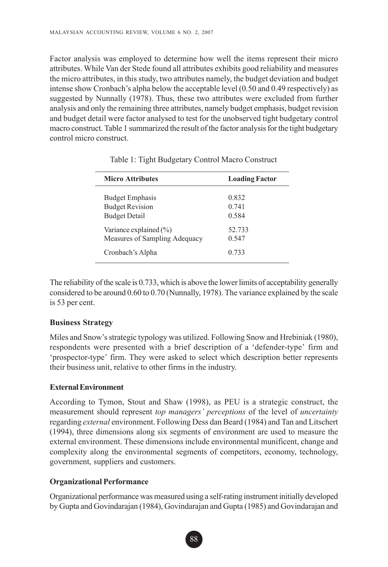Factor analysis was employed to determine how well the items represent their micro attributes. While Van der Stede found all attributes exhibits good reliability and measures the micro attributes, in this study, two attributes namely, the budget deviation and budget intense show Cronbach's alpha below the acceptable level (0.50 and 0.49 respectively) as suggested by Nunnally (1978). Thus, these two attributes were excluded from further analysis and only the remaining three attributes, namely budget emphasis, budget revision and budget detail were factor analysed to test for the unobserved tight budgetary control macro construct. Table 1 summarized the result of the factor analysis for the tight budgetary control micro construct.

| <b>Micro Attributes</b>                                                  | <b>Loading Factor</b>   |
|--------------------------------------------------------------------------|-------------------------|
| <b>Budget Emphasis</b><br><b>Budget Revision</b><br><b>Budget Detail</b> | 0.832<br>0.741<br>0.584 |
| Variance explained $(\% )$<br>Measures of Sampling Adequacy              | 52.733<br>0.547         |
| Cronbach's Alpha                                                         | 0.733                   |

Table 1: Tight Budgetary Control Macro Construct

The reliability of the scale is 0.733, which is above the lower limits of acceptability generally considered to be around 0.60 to 0.70 (Nunnally, 1978). The variance explained by the scale is 53 per cent.

#### **Business Strategy**

Miles and Snow's strategic typology was utilized. Following Snow and Hrebiniak (1980), respondents were presented with a brief description of a 'defender-type' firm and 'prospector-type' firm. They were asked to select which description better represents their business unit, relative to other firms in the industry.

#### **External Environment**

According to Tymon, Stout and Shaw (1998), as PEU is a strategic construct, the measurement should represent *top managers' perceptions* of the level of *uncertainty* regarding *external* environment. Following Dess dan Beard (1984) and Tan and Litschert (1994), three dimensions along six segments of environment are used to measure the external environment. These dimensions include environmental munificent, change and complexity along the environmental segments of competitors, economy, technology, government, suppliers and customers.

#### **Organizational Performance**

Organizational performance was measured using a self-rating instrument initially developed by Gupta and Govindarajan (1984), Govindarajan and Gupta (1985) and Govindarajan and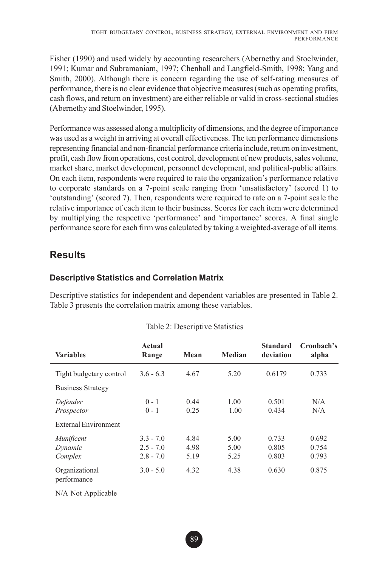Fisher (1990) and used widely by accounting researchers (Abernethy and Stoelwinder, 1991; Kumar and Subramaniam, 1997; Chenhall and Langfield-Smith, 1998; Yang and Smith, 2000). Although there is concern regarding the use of self-rating measures of performance, there is no clear evidence that objective measures (such as operating profits, cash flows, and return on investment) are either reliable or valid in cross-sectional studies (Abernethy and Stoelwinder, 1995).

Performance was assessed along a multiplicity of dimensions, and the degree of importance was used as a weight in arriving at overall effectiveness. The ten performance dimensions representing financial and non-financial performance criteria include, return on investment, profit, cash flow from operations, cost control, development of new products, sales volume, market share, market development, personnel development, and political-public affairs. On each item, respondents were required to rate the organization's performance relative to corporate standards on a 7-point scale ranging from 'unsatisfactory' (scored 1) to 'outstanding' (scored 7). Then, respondents were required to rate on a 7-point scale the relative importance of each item to their business. Scores for each item were determined by multiplying the respective 'performance' and 'importance' scores. A final single performance score for each firm was calculated by taking a weighted-average of all items.

## **Results**

#### **Descriptive Statistics and Correlation Matrix**

Descriptive statistics for independent and dependent variables are presented in Table 2. Table 3 presents the correlation matrix among these variables.

| <b>Variables</b>                 | Actual<br>Range                           | Mean                 | Median               | <b>Standard</b><br>deviation | Cronbach's<br>alpha     |
|----------------------------------|-------------------------------------------|----------------------|----------------------|------------------------------|-------------------------|
| Tight budgetary control          | $3.6 - 6.3$                               | 4.67                 | 5.20                 | 0.6179                       | 0.733                   |
| <b>Business Strategy</b>         |                                           |                      |                      |                              |                         |
| Defender<br>Prospector           | $0 - 1$<br>$0 - 1$                        | 0.44<br>0.25         | 1.00<br>1.00         | 0.501<br>0.434               | N/A<br>N/A              |
| <b>External Environment</b>      |                                           |                      |                      |                              |                         |
| Munificent<br>Dynamic<br>Complex | $3.3 - 7.0$<br>$2.5 - 7.0$<br>$2.8 - 7.0$ | 4.84<br>4.98<br>5.19 | 5.00<br>5.00<br>5.25 | 0.733<br>0.805<br>0.803      | 0.692<br>0.754<br>0.793 |
| Organizational<br>performance    | $3.0 - 5.0$                               | 4.32                 | 4.38                 | 0.630                        | 0.875                   |

#### Table 2: Descriptive Statistics

N/A Not Applicable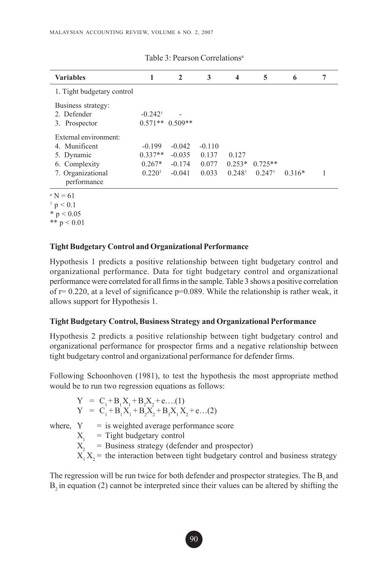| <b>Variables</b>                                   |                                    | 2                                     | 3        | 4                  | 5                  | 6        | 7 |
|----------------------------------------------------|------------------------------------|---------------------------------------|----------|--------------------|--------------------|----------|---|
| 1. Tight budgetary control                         |                                    |                                       |          |                    |                    |          |   |
| Business strategy:<br>2. Defender<br>3. Prospector | $-0.242$ <sup>1</sup><br>$0.571**$ | $\overline{\phantom{0}}$<br>$0.509**$ |          |                    |                    |          |   |
| External environment:                              |                                    |                                       |          |                    |                    |          |   |
| 4. Munificent                                      | $-0.199$                           | $-0.042$                              | $-0.110$ |                    |                    |          |   |
| 5. Dynamic                                         | $0.337**$                          | $-0.035$                              | 0.137    | 0.127              |                    |          |   |
| 6. Complexity                                      | $0.267*$                           | $-0.174$                              | 0.077    | $0.253*$           | $0.725**$          |          |   |
| 7. Organizational<br>performance                   | 0.220 <sup>1</sup>                 | $-0.041$                              | 0.033    | 0.248 <sup>1</sup> | 0.247 <sup>1</sup> | $0.316*$ |   |

Table 3: Pearson Correlations<sup>a</sup>

 $^{\circ}$  N = 61

 $1 p < 0.1$ 

 $*$  p < 0.05 \*\*  $p < 0.01$ 

#### **Tight Budgetary Control and Organizational Performance**

Hypothesis 1 predicts a positive relationship between tight budgetary control and organizational performance. Data for tight budgetary control and organizational performance were correlated for all firms in the sample. Table 3 shows a positive correlation of  $r= 0.220$ , at a level of significance  $p=0.089$ . While the relationship is rather weak, it allows support for Hypothesis 1.

#### **Tight Budgetary Control, Business Strategy and Organizational Performance**

Hypothesis 2 predicts a positive relationship between tight budgetary control and organizational performance for prospector firms and a negative relationship between tight budgetary control and organizational performance for defender firms.

Following Schoonhoven (1981), to test the hypothesis the most appropriate method would be to run two regression equations as follows:

$$
Y = C_1 + B_1 X_1 + B_2 X_2 + e \dots (1)
$$
  
\n
$$
Y = C_1 + B_1 X_1 + B_2 X_2 + B_3 X_1 X_2 + e \dots (2)
$$

where,  $Y =$  is weighted average performance score

- $X_1$  = Tight budgetary control
- $X_2$  = Business strategy (defender and prospector)
- $X_1 X_2$  = the interaction between tight budgetary control and business strategy

The regression will be run twice for both defender and prospector strategies. The  $B_1$  and  $B_2$  in equation (2) cannot be interpreted since their values can be altered by shifting the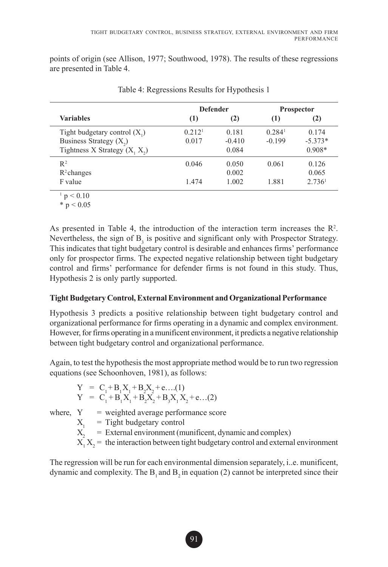points of origin (see Allison, 1977; Southwood, 1978). The results of these regressions are presented in Table 4.

|                                 |                    | <b>Defender</b> | <b>Prospector</b>  |                    |  |
|---------------------------------|--------------------|-----------------|--------------------|--------------------|--|
| <b>Variables</b>                | (1)                | (2)             | (1)                | (2)                |  |
| Tight budgetary control $(X_1)$ | 0.212 <sup>1</sup> | 0.181           | 0.284 <sup>1</sup> | 0.174              |  |
| Business Strategy $(X_2)$       | 0.017              | $-0.410$        | $-0.199$           | $-5.373*$          |  |
| Tightness X Strategy $(X, X_2)$ |                    | 0.084           |                    | $0.908*$           |  |
| $R^2$                           | 0.046              | 0.050           | 0.061              | 0.126              |  |
| $R^2$ changes                   |                    | 0.002           |                    | 0.065              |  |
| F value                         | 1.474              | 1.002           | 1.881              | 2.736 <sup>1</sup> |  |

Table 4: Regressions Results for Hypothesis 1

 $1 p < 0.10$ 

 $* p < 0.05$ 

As presented in Table 4, the introduction of the interaction term increases the  $\mathbb{R}^2$ . Nevertheless, the sign of  $B_3$  is positive and significant only with Prospector Strategy. This indicates that tight budgetary control is desirable and enhances firms' performance only for prospector firms. The expected negative relationship between tight budgetary control and firms' performance for defender firms is not found in this study. Thus, Hypothesis 2 is only partly supported.

#### **Tight Budgetary Control, External Environment and Organizational Performance**

Hypothesis 3 predicts a positive relationship between tight budgetary control and organizational performance for firms operating in a dynamic and complex environment. However, for firms operating in a munificent environment, it predicts a negative relationship between tight budgetary control and organizational performance.

Again, to test the hypothesis the most appropriate method would be to run two regression equations (see Schoonhoven, 1981), as follows:

$$
Y = C_1 + B_1 X_1 + B_2 X_2 + e \dots (1)
$$
  
\n
$$
Y = C_1 + B_1 X_1 + B_2 X_2 + B_3 X_1 X_2 + e \dots (2)
$$

where,  $Y = weighted average performance score$ 

 $X_1$  = Tight budgetary control

 $X<sub>2</sub>$  = External environment (munificent, dynamic and complex)

 $X_1 X_2$  = the interaction between tight budgetary control and external environment

The regression will be run for each environmental dimension separately, i..e. munificent, dynamic and complexity. The  $B_1$  and  $B_2$  in equation (2) cannot be interpreted since their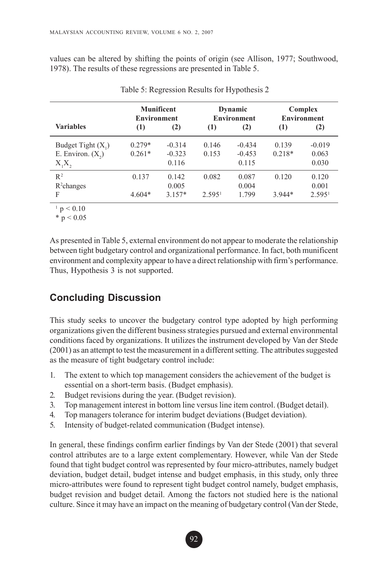values can be altered by shifting the points of origin (see Allison, 1977; Southwood, 1978). The results of these regressions are presented in Table 5.

|                                             | <b>Munificent</b><br><b>Environment</b> |                               |                    | Dynamic<br><b>Environment</b> | Complex<br><b>Environment</b> |                             |
|---------------------------------------------|-----------------------------------------|-------------------------------|--------------------|-------------------------------|-------------------------------|-----------------------------|
| <b>Variables</b>                            | (1)                                     | (2)                           | (1)                | (2)                           | (1)                           | (2)                         |
| Budget Tight $(X_1)$<br>E. Environ. $(X_2)$ | $0.279*$<br>$0.261*$                    | $-0.314$<br>$-0.323$<br>0.116 | 0.146<br>0.153     | $-0.434$<br>$-0.453$<br>0.115 | 0.139<br>$0.218*$             | $-0.019$<br>0.063<br>0.030  |
| $X_1X_2$<br>$R^2$                           | 0.137                                   | 0.142                         | 0.082              | 0.087                         | 0.120                         | 0.120                       |
| $R^2$ changes<br>F                          | $4.604*$                                | 0.005<br>$3.157*$             | 2.595 <sup>1</sup> | 0.004<br>1.799                | $3.944*$                      | 0.001<br>2.595 <sup>1</sup> |

Table 5: Regression Results for Hypothesis 2

 $1 p < 0.10$ 

 $*$  p  $< 0.05$ 

As presented in Table 5, external environment do not appear to moderate the relationship between tight budgetary control and organizational performance. In fact, both munificent environment and complexity appear to have a direct relationship with firm's performance. Thus, Hypothesis 3 is not supported.

## **Concluding Discussion**

This study seeks to uncover the budgetary control type adopted by high performing organizations given the different business strategies pursued and external environmental conditions faced by organizations. It utilizes the instrument developed by Van der Stede (2001) as an attempt to test the measurement in a different setting. The attributes suggested as the measure of tight budgetary control include:

- 1. The extent to which top management considers the achievement of the budget is essential on a short-term basis. (Budget emphasis).
- 2. Budget revisions during the year. (Budget revision).
- 3. Top management interest in bottom line versus line item control. (Budget detail).
- 4. Top managers tolerance for interim budget deviations (Budget deviation).
- 5. Intensity of budget-related communication (Budget intense).

In general, these findings confirm earlier findings by Van der Stede (2001) that several control attributes are to a large extent complementary. However, while Van der Stede found that tight budget control was represented by four micro-attributes, namely budget deviation, budget detail, budget intense and budget emphasis, in this study, only three micro-attributes were found to represent tight budget control namely, budget emphasis, budget revision and budget detail. Among the factors not studied here is the national culture. Since it may have an impact on the meaning of budgetary control (Van der Stede,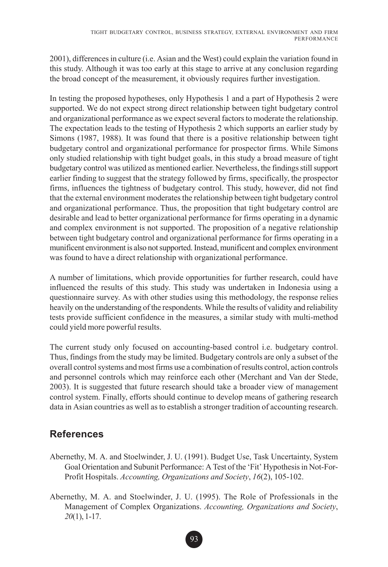2001), differences in culture (i.e. Asian and the West) could explain the variation found in this study. Although it was too early at this stage to arrive at any conclusion regarding the broad concept of the measurement, it obviously requires further investigation.

In testing the proposed hypotheses, only Hypothesis 1 and a part of Hypothesis 2 were supported. We do not expect strong direct relationship between tight budgetary control and organizational performance as we expect several factors to moderate the relationship. The expectation leads to the testing of Hypothesis 2 which supports an earlier study by Simons (1987, 1988). It was found that there is a positive relationship between tight budgetary control and organizational performance for prospector firms. While Simons only studied relationship with tight budget goals, in this study a broad measure of tight budgetary control was utilized as mentioned earlier. Nevertheless, the findings still support earlier finding to suggest that the strategy followed by firms, specifically, the prospector firms, influences the tightness of budgetary control. This study, however, did not find that the external environment moderates the relationship between tight budgetary control and organizational performance. Thus, the proposition that tight budgetary control are desirable and lead to better organizational performance for firms operating in a dynamic and complex environment is not supported. The proposition of a negative relationship between tight budgetary control and organizational performance for firms operating in a munificent environment is also not supported. Instead, munificent and complex environment was found to have a direct relationship with organizational performance.

A number of limitations, which provide opportunities for further research, could have influenced the results of this study. This study was undertaken in Indonesia using a questionnaire survey. As with other studies using this methodology, the response relies heavily on the understanding of the respondents. While the results of validity and reliability tests provide sufficient confidence in the measures, a similar study with multi-method could yield more powerful results.

The current study only focused on accounting-based control i.e. budgetary control. Thus, findings from the study may be limited. Budgetary controls are only a subset of the overall control systems and most firms use a combination of results control, action controls and personnel controls which may reinforce each other (Merchant and Van der Stede, 2003). It is suggested that future research should take a broader view of management control system. Finally, efforts should continue to develop means of gathering research data in Asian countries as well as to establish a stronger tradition of accounting research.

## **References**

- Abernethy, M. A. and Stoelwinder, J. U. (1991). Budget Use, Task Uncertainty, System Goal Orientation and Subunit Performance: A Test of the 'Fit' Hypothesis in Not-For-Profit Hospitals. *Accounting, Organizations and Society*, *16*(2), 105-102.
- Abernethy, M. A. and Stoelwinder, J. U. (1995). The Role of Professionals in the Management of Complex Organizations. *Accounting, Organizations and Society*, *20*(1), 1-17.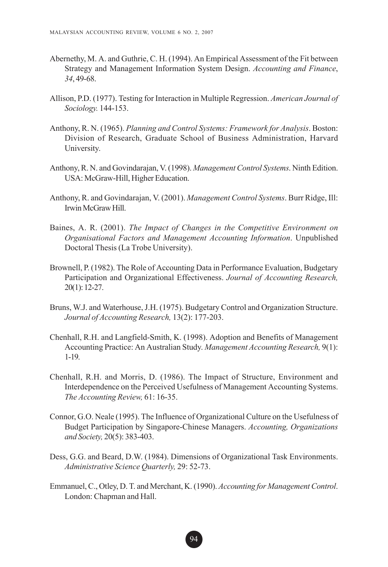- Abernethy, M. A. and Guthrie, C. H. (1994). An Empirical Assessment of the Fit between Strategy and Management Information System Design. *Accounting and Finance*, *34*, 49-68.
- Allison, P.D. (1977). Testing for Interaction in Multiple Regression. *American Journal of Sociology.* 144-153.
- Anthony, R. N. (1965). *Planning and Control Systems: Framework for Analysis*. Boston: Division of Research, Graduate School of Business Administration, Harvard University.
- Anthony, R. N. and Govindarajan, V. (1998). *Management Control Systems*. Ninth Edition. USA: McGraw-Hill, Higher Education.
- Anthony, R. and Govindarajan, V. (2001). *Management Control Systems*. Burr Ridge, Ill: Irwin McGraw Hill.
- Baines, A. R. (2001). *The Impact of Changes in the Competitive Environment on Organisational Factors and Management Accounting Information*. Unpublished Doctoral Thesis (La Trobe University).
- Brownell, P. (1982). The Role of Accounting Data in Performance Evaluation, Budgetary Participation and Organizational Effectiveness. *Journal of Accounting Research,* 20(1): 12-27.
- Bruns, W.J. and Waterhouse, J.H. (1975). Budgetary Control and Organization Structure. *Journal of Accounting Research,* 13(2): 177-203.
- Chenhall, R.H. and Langfield-Smith, K. (1998). Adoption and Benefits of Management Accounting Practice: An Australian Study. *Management Accounting Research,* 9(1): 1-19.
- Chenhall, R.H. and Morris, D. (1986). The Impact of Structure, Environment and Interdependence on the Perceived Usefulness of Management Accounting Systems. *The Accounting Review,* 61: 16-35.
- Connor, G.O. Neale (1995). The Influence of Organizational Culture on the Usefulness of Budget Participation by Singapore-Chinese Managers. *Accounting, Organizations and Society,* 20(5): 383-403.
- Dess, G.G. and Beard, D.W. (1984). Dimensions of Organizational Task Environments. *Administrative Science Quarterly,* 29: 52-73.
- Emmanuel, C., Otley, D. T. and Merchant, K. (1990). *Accounting for Management Control*. London: Chapman and Hall.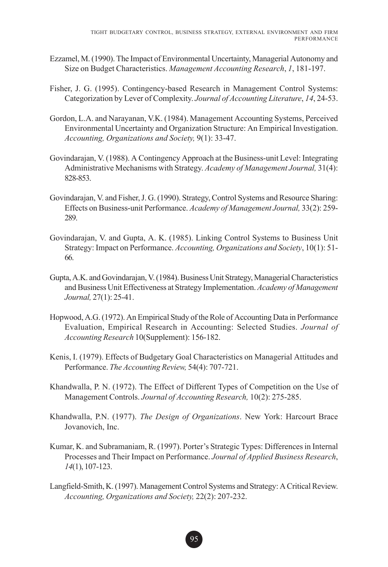- Ezzamel, M. (1990). The Impact of Environmental Uncertainty, Managerial Autonomy and Size on Budget Characteristics. *Management Accounting Research*, *1*, 181-197.
- Fisher, J. G. (1995). Contingency-based Research in Management Control Systems: Categorization by Lever of Complexity. *Journal of Accounting Literature*, *14*, 24-53.
- Gordon, L.A. and Narayanan, V.K. (1984). Management Accounting Systems, Perceived Environmental Uncertainty and Organization Structure: An Empirical Investigation. *Accounting, Organizations and Society,* 9(1): 33-47.
- Govindarajan, V. (1988). A Contingency Approach at the Business-unit Level: Integrating Administrative Mechanisms with Strategy. *Academy of Management Journal,* 31(4): 828-853.
- Govindarajan, V. and Fisher, J. G. (1990). Strategy, Control Systems and Resource Sharing: Effects on Business-unit Performance. *Academy of Management Journal,* 33(2): 259- 289.
- Govindarajan, V. and Gupta, A. K. (1985). Linking Control Systems to Business Unit Strategy: Impact on Performance. *Accounting, Organizations and Society*, 10(1): 51- 66.
- Gupta, A.K. and Govindarajan, V. (1984). Business Unit Strategy, Managerial Characteristics and Business Unit Effectiveness at Strategy Implementation. *Academy of Management Journal,* 27(1): 25-41.
- Hopwood, A.G. (1972). An Empirical Study of the Role of Accounting Data in Performance Evaluation, Empirical Research in Accounting: Selected Studies. *Journal of Accounting Research* 10(Supplement): 156-182.
- Kenis, I. (1979). Effects of Budgetary Goal Characteristics on Managerial Attitudes and Performance. *The Accounting Review,* 54(4): 707-721.
- Khandwalla, P. N. (1972). The Effect of Different Types of Competition on the Use of Management Controls. *Journal of Accounting Research,* 10(2): 275-285.
- Khandwalla, P.N. (1977). *The Design of Organizations*. New York: Harcourt Brace Jovanovich, Inc.
- Kumar, K. and Subramaniam, R. (1997). Porter's Strategic Types: Differences in Internal Processes and Their Impact on Performance. *Journal of Applied Business Research*, *14*(1), 107-123.
- Langfield-Smith, K. (1997). Management Control Systems and Strategy: A Critical Review. *Accounting, Organizations and Society,* 22(2): 207-232.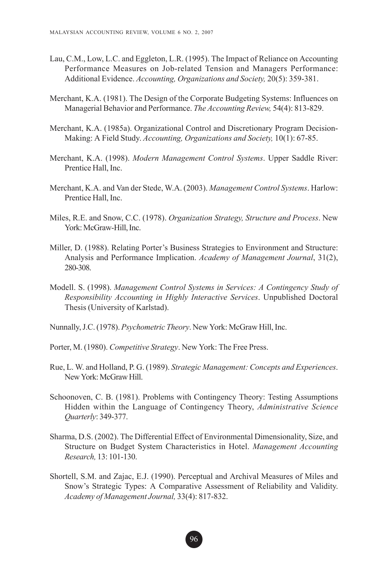- Lau, C.M., Low, L.C. and Eggleton, L.R. (1995). The Impact of Reliance on Accounting Performance Measures on Job-related Tension and Managers Performance: Additional Evidence. *Accounting, Organizations and Society,* 20(5): 359-381.
- Merchant, K.A. (1981). The Design of the Corporate Budgeting Systems: Influences on Managerial Behavior and Performance. *The Accounting Review,* 54(4): 813-829.
- Merchant, K.A. (1985a). Organizational Control and Discretionary Program Decision-Making: A Field Study. *Accounting, Organizations and Society,* 10(1): 67-85.
- Merchant, K.A. (1998). *Modern Management Control Systems*. Upper Saddle River: Prentice Hall, Inc.
- Merchant, K.A. and Van der Stede, W.A. (2003). *Management Control Systems*. Harlow: Prentice Hall, Inc.
- Miles, R.E. and Snow, C.C. (1978). *Organization Strategy, Structure and Process*. New York: McGraw-Hill, Inc.
- Miller, D. (1988). Relating Porter's Business Strategies to Environment and Structure: Analysis and Performance Implication. *Academy of Management Journal*, 31(2), 280-308.
- Modell. S. (1998). *Management Control Systems in Services: A Contingency Study of Responsibility Accounting in Highly Interactive Services*. Unpublished Doctoral Thesis (University of Karlstad).
- Nunnally, J.C. (1978). *Psychometric Theory*. New York: McGraw Hill, Inc.
- Porter, M. (1980). *Competitive Strategy*. New York: The Free Press.
- Rue, L. W. and Holland, P. G. (1989). *Strategic Management: Concepts and Experiences*. New York: McGraw Hill.
- Schoonoven, C. B. (1981). Problems with Contingency Theory: Testing Assumptions Hidden within the Language of Contingency Theory, *Administrative Science Quarterly*: 349-377.
- Sharma, D.S. (2002). The Differential Effect of Environmental Dimensionality, Size, and Structure on Budget System Characteristics in Hotel. *Management Accounting Research,* 13: 101-130.
- Shortell, S.M. and Zajac, E.J. (1990). Perceptual and Archival Measures of Miles and Snow's Strategic Types: A Comparative Assessment of Reliability and Validity. *Academy of Management Journal,* 33(4): 817-832.